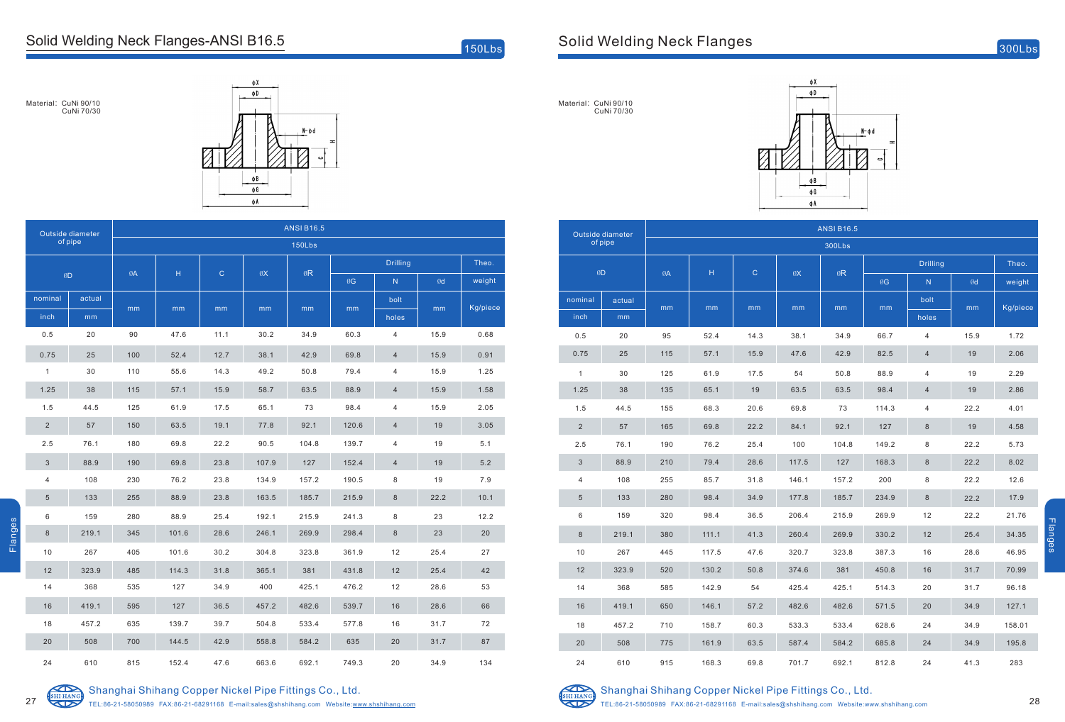## [Solid Welding Neck Flanges](https://www.shshihang.com/shihang-products/copper-nickel-weld-neck-asme-b16-5ansi-b16-5/)-ANSI B16.5

 $150Lbs$ 

Material: CuNi 90/10 CuNi 70/30



| Outside diameter<br>of pipe |        | <b>ANSI B16.5</b> |       |             |       |       |                 |                |      |          |  |
|-----------------------------|--------|-------------------|-------|-------------|-------|-------|-----------------|----------------|------|----------|--|
|                             |        | <b>150Lbs</b>     |       |             |       |       |                 |                |      |          |  |
| ØD                          |        | ØA                | н     | $\mathbf C$ | ØX    | ØR    | <b>Drilling</b> |                |      | Theo.    |  |
|                             |        |                   |       |             |       |       | ØG              | N              | Ød   | weight   |  |
| nominal                     | actual | mm                | mm    | mm          | mm    | mm    | mm              | bolt           | mm   | Kg/piece |  |
| inch                        | mm     |                   |       |             |       |       |                 | holes          |      |          |  |
| 0.5                         | 20     | 90                | 47.6  | 11.1        | 30.2  | 34.9  | 60.3            | $\overline{4}$ | 15.9 | 0.68     |  |
| 0.75                        | 25     | 100               | 52.4  | 12.7        | 38.1  | 42.9  | 69.8            | $\overline{4}$ | 15.9 | 0.91     |  |
| $\mathbf{1}$                | 30     | 110               | 55.6  | 14.3        | 49.2  | 50.8  | 79.4            | 4              | 15.9 | 1.25     |  |
| 1.25                        | 38     | 115               | 57.1  | 15.9        | 58.7  | 63.5  | 88.9            | $\overline{4}$ | 15.9 | 1.58     |  |
| 1.5                         | 44.5   | 125               | 61.9  | 17.5        | 65.1  | 73    | 98.4            | 4              | 15.9 | 2.05     |  |
| $\sqrt{2}$                  | 57     | 150               | 63.5  | 19.1        | 77.8  | 92.1  | 120.6           | 4              | 19   | 3.05     |  |
| 2.5                         | 76.1   | 180               | 69.8  | 22.2        | 90.5  | 104.8 | 139.7           | 4              | 19   | 5.1      |  |
| 3                           | 88.9   | 190               | 69.8  | 23.8        | 107.9 | 127   | 152.4           | 4              | 19   | $5.2$    |  |
| 4                           | 108    | 230               | 76.2  | 23.8        | 134.9 | 157.2 | 190.5           | 8              | 19   | 7.9      |  |
| 5                           | 133    | 255               | 88.9  | 23.8        | 163.5 | 185.7 | 215.9           | 8              | 22.2 | 10.1     |  |
| $\,6\,$                     | 159    | 280               | 88.9  | 25.4        | 192.1 | 215.9 | 241.3           | 8              | 23   | 12.2     |  |
| 8                           | 219.1  | 345               | 101.6 | 28.6        | 246.1 | 269.9 | 298.4           | 8              | 23   | 20       |  |
| 10                          | 267    | 405               | 101.6 | 30.2        | 304.8 | 323.8 | 361.9           | 12             | 25.4 | 27       |  |
| 12                          | 323.9  | 485               | 114.3 | 31.8        | 365.1 | 381   | 431.8           | 12             | 25.4 | 42       |  |
| 14                          | 368    | 535               | 127   | 34.9        | 400   | 425.1 | 476.2           | 12             | 28.6 | 53       |  |
| 16                          | 419.1  | 595               | 127   | 36.5        | 457.2 | 482.6 | 539.7           | 16             | 28.6 | 66       |  |
| 18                          | 457.2  | 635               | 139.7 | 39.7        | 504.8 | 533.4 | 577.8           | $16$           | 31.7 | $72\,$   |  |
| 20                          | 508    | 700               | 144.5 | 42.9        | 558.8 | 584.2 | 635             | 20             | 31.7 | 87       |  |
| 24                          | 610    | 815               | 152.4 | 47.6        | 663.6 | 692.1 | 749.3           | 20             | 34.9 | 134      |  |



Flanges

## Shanghai Shihang Copper Nickel Pipe Fittings Co., Ltd.

TEL:86-21-58050989 FAX:86-21-68291168 E-mail:sales@shshihang.com Website:www.shshihang.com